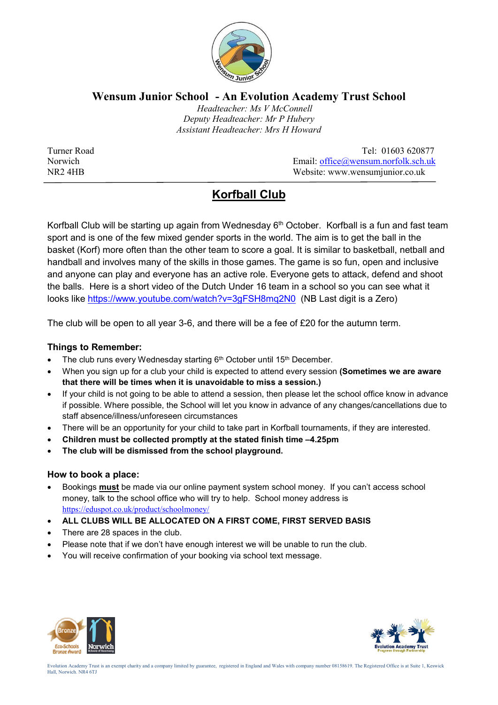

### **Wensum Junior School - An Evolution Academy Trust School**

 *Headteacher: Ms V McConnell Deputy Headteacher: Mr P Hubery Assistant Headteacher: Mrs H Howard*

Turner Road Tel: 01603 620877 Norwich Email: office@wensum.norfolk.sch.uk NR2 4HB Website: www.wensumjunior.co.uk

# **Korfball Club**

Korfball Club will be starting up again from Wednesday  $6<sup>th</sup>$  October. Korfball is a fun and fast team sport and is one of the few mixed gender sports in the world. The aim is to get the ball in the basket (Korf) more often than the other team to score a goal. It is similar to basketball, netball and handball and involves many of the skills in those games. The game is so fun, open and inclusive and anyone can play and everyone has an active role. Everyone gets to attack, defend and shoot the balls. Here is a short video of the Dutch Under 16 team in a school so you can see what it looks like https://www.youtube.com/watch?v=3gFSH8mq2N0 (NB Last digit is a Zero)

The club will be open to all year 3-6, and there will be a fee of £20 for the autumn term.

#### **Things to Remember:**

- The club runs every Wednesday starting 6th October until 15th December.
- When you sign up for a club your child is expected to attend every session **(Sometimes we are aware that there will be times when it is unavoidable to miss a session.)**
- If your child is not going to be able to attend a session, then please let the school office know in advance if possible. Where possible, the School will let you know in advance of any changes/cancellations due to staff absence/illness/unforeseen circumstances
- There will be an opportunity for your child to take part in Korfball tournaments, if they are interested.
- **Children must be collected promptly at the stated finish time –4.25pm**
- **The club will be dismissed from the school playground.**

#### **How to book a place:**

- Bookings **must** be made via our online payment system school money. If you can't access school money, talk to the school office who will try to help. School money address is https://eduspot.co.uk/product/schoolmoney/
- **ALL CLUBS WILL BE ALLOCATED ON A FIRST COME, FIRST SERVED BASIS**
- There are 28 spaces in the club.
- Please note that if we don't have enough interest we will be unable to run the club.
- You will receive confirmation of your booking via school text message.